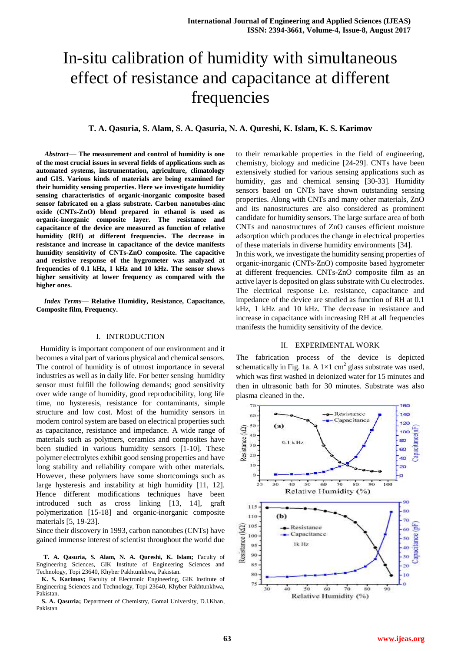# In-situ calibration of humidity with simultaneous effect of resistance and capacitance at different frequencies

## **T. A. Qasuria, S. Alam, S. A. Qasuria, N. A. Qureshi, K. Islam, K. S. Karimov**

*Abstract*— **The measurement and control of humidity is one of the most crucial issues in several fields of applications such as automated systems, instrumentation, agriculture, climatology and GIS. Various kinds of materials are being examined for their humidity sensing properties. Here we investigate humidity sensing characteristics of organic-inorganic composite based sensor fabricated on a glass substrate. Carbon nanotubes-zinc oxide (CNTs-ZnO) blend prepared in ethanol is used as organic-inorganic composite layer. The resistance and capacitance of the device are measured as function of relative humidity (RH) at different frequencies. The decrease in resistance and increase in capacitance of the device manifests humidity sensitivity of CNTs-ZnO composite. The capacitive and resistive response of the hygrometer was analyzed at frequencies of 0.1 kHz, 1 kHz and 10 kHz. The sensor shows higher sensitivity at lower frequency as compared with the higher ones.**

*Index Terms***— Relative Humidity, Resistance, Capacitance, Composite film, Frequency.**

## I. INTRODUCTION

 Humidity is important component of our environment and it becomes a vital part of various physical and chemical sensors. The control of humidity is of utmost importance in several industries as well as in daily life. For better sensing humidity sensor must fulfill the following demands; good sensitivity over wide range of humidity, good reproducibility, long life time, no hysteresis, resistance for contaminants, simple structure and low cost. Most of the humidity sensors in modern control system are based on electrical properties such as capacitance, resistance and impedance. A wide range of materials such as polymers, ceramics and composites have been studied in various humidity sensors [1-10]. These polymer electrolytes exhibit good sensing properties and have long stability and reliability compare with other materials. However, these polymers have some shortcomings such as large hysteresis and instability at high humidity [11, 12]. Hence different modifications techniques have been introduced such as cross linking [13, 14], graft polymerization [15-18] and organic-inorganic composite materials [5, 19-23].

Since their discovery in 1993, carbon nanotubes (CNTs) have gained immense interest of scientist throughout the world due

**T. A. Qasuria, S. Alam, N. A. Qureshi, K. Islam;** Faculty of Engineering Sciences, GIK Institute of Engineering Sciences and Technology, Topi 23640, Khyber Pakhtunkhwa, Pakistan.

**K. S. Karimov;** Faculty of Electronic Engineering, GIK Institute of Engineering Sciences and Technology, Topi 23640, Khyber Pakhtunkhwa, Pakistan.

**S. A. Qasuria;** Department of Chemistry, Gomal University, D.I.Khan, Pakistan

to their remarkable properties in the field of engineering, chemistry, biology and medicine [24-29]. CNTs have been extensively studied for various sensing applications such as humidity, gas and chemical sensing [30-33]. Humidity sensors based on CNTs have shown outstanding sensing properties. Along with CNTs and many other materials, ZnO and its nanostructures are also considered as prominent candidate for humidity sensors. The large surface area of both CNTs and nanostructures of ZnO causes efficient moisture adsorption which produces the change in electrical properties of these materials in diverse humidity environments [34]. In this work, we investigate the humidity sensing properties of organic-inorganic (CNTs-ZnO) composite based hygrometer at different frequencies. CNTs-ZnO composite film as an active layer is deposited on glass substrate with Cu electrodes. The electrical response i.e. resistance, capacitance and impedance of the device are studied as function of RH at 0.1 kHz, 1 kHz and 10 kHz. The decrease in resistance and increase in capacitance with increasing RH at all frequencies manifests the humidity sensitivity of the device.

#### II. EXPERIMENTAL WORK

The fabrication process of the device is depicted schematically in Fig. 1a. A  $1\times1$  cm<sup>2</sup> glass substrate was used, which was first washed in deionized water for 15 minutes and then in ultrasonic bath for 30 minutes. Substrate was also plasma cleaned in the.

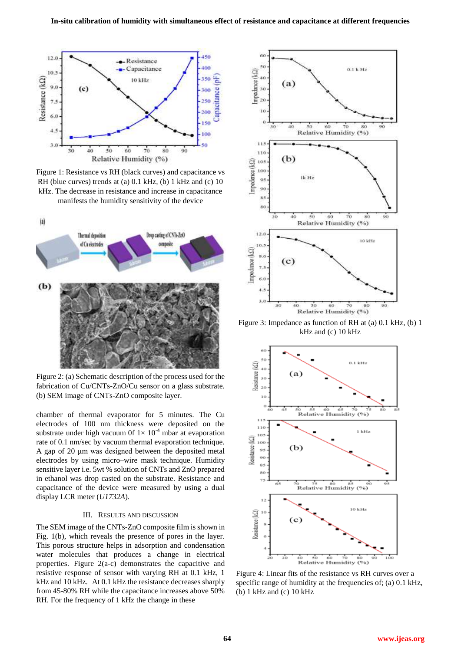

Figure 1: Resistance vs RH (black curves) and capacitance vs RH (blue curves) trends at (a) 0.1 kHz, (b) 1 kHz and (c) 10 kHz. The decrease in resistance and increase in capacitance manifests the humidity sensitivity of the device



Figure 2: (a) Schematic description of the process used for the fabrication of Cu/CNTs-ZnO/Cu sensor on a glass substrate. (b) SEM image of CNTs-ZnO composite layer.

chamber of thermal evaporator for 5 minutes. The Cu electrodes of 100 nm thickness were deposited on the substrate under high vacuum 0f  $1 \times 10^{-4}$  mbar at evaporation rate of 0.1 nm/sec by vacuum thermal evaporation technique. A gap of 20 μm was designed between the deposited metal electrodes by using micro–wire mask technique. Humidity sensitive layer i.e. 5wt % solution of CNTs and ZnO prepared in ethanol was drop casted on the substrate. Resistance and capacitance of the device were measured by using a dual display LCR meter (*U1732A*).

### III. RESULTS AND DISCUSSION

The SEM image of the CNTs-ZnO composite film is shown in Fig. 1(b), which reveals the presence of pores in the layer. This porous structure helps in adsorption and condensation water molecules that produces a change in electrical properties. Figure 2(a-c) demonstrates the capacitive and resistive response of sensor with varying RH at 0.1 kHz, 1 kHz and 10 kHz. At 0.1 kHz the resistance decreases sharply from 45-80% RH while the capacitance increases above 50% RH. For the frequency of 1 kHz the change in these



Figure 3: Impedance as function of RH at (a) 0.1 kHz, (b) 1 kHz and (c) 10 kHz



Figure 4: Linear fits of the resistance vs RH curves over a specific range of humidity at the frequencies of; (a) 0.1 kHz, (b) 1 kHz and (c) 10 kHz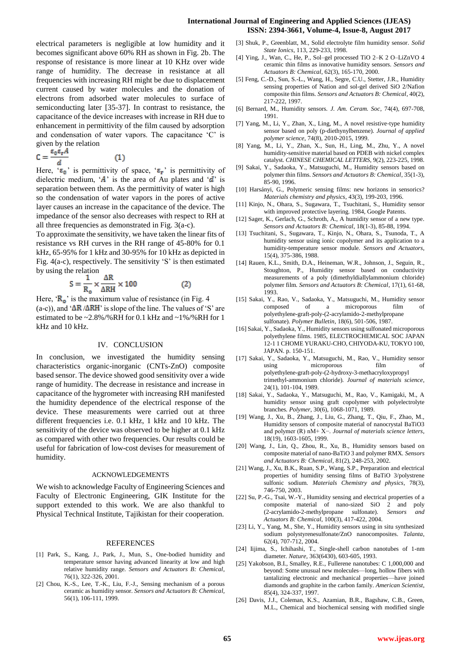### **International Journal of Engineering and Applied Sciences (IJEAS) ISSN: 2394-3661, Volume-4, Issue-8, August 2017**

electrical parameters is negligible at low humidity and it becomes significant above 60% RH as shown in Fig. 2b. The response of resistance is more linear at 10 KHz over wide range of humidity. The decrease in resistance at all frequencies with increasing RH might be due to displacement current caused by water molecules and the donation of electrons from adsorbed water molecules to surface of semiconducting later [35-37]. In contrast to resistance, the capacitance of the device increases with increase in RH due to enhancement in permittivity of the film caused by adsorption and condensation of water vapors. The capacitance 'C' is given by the relation

$$
C = \frac{\epsilon_0 \epsilon_r A}{d} \tag{1}
$$

Here, ' $\epsilon_0$ ' is permittivity of space, ' $\epsilon_r$ ' is permittivity of dielectric medium,  $\mathbf{A}'$  is the area of Au plates and  $\mathbf{d}'$  is separation between them. As the permittivity of water is high so the condensation of water vapors in the pores of active layer causes an increase in the capacitance of the device. The impedance of the sensor also decreases with respect to RH at all three frequencies as demonstrated in Fig. 3(a-c).

To approximate the sensitivity, we have taken the linear fits of resistance vs RH curves in the RH range of 45-80% for 0.1 kHz, 65-95% for 1 kHz and 30-95% for 10 kHz as depicted in Fig.  $4(a-c)$ , respectively. The sensitivity 'S' is then estimated by using the relation

$$
S = \frac{1}{R_o} \times \frac{\Delta R}{\Delta RH} \times 100
$$
 (2)

Here,  $\mathbf{R}_{\text{o}}$  is the maximum value of resistance (in Fig. 4 (a-c)), and  $\Delta R / \Delta R H'$  is slope of the line. The values of 'S' are estimated to be ~2.8%/%RH for 0.1 kHz and ~1%/%RH for 1 kHz and 10 kHz.

#### IV. CONCLUSION

In conclusion, we investigated the humidity sensing characteristics organic-inorganic (CNTs-ZnO) composite based sensor. The device showed good sensitivity over a wide range of humidity. The decrease in resistance and increase in capacitance of the hygrometer with increasing RH manifested the humidity dependence of the electrical response of the device. These measurements were carried out at three different frequencies i.e. 0.1 kHz, 1 kHz and 10 kHz. The sensitivity of the device was observed to be higher at 0.1 kHz as compared with other two frequencies. Our results could be useful for fabrication of low-cost devises for measurement of humidity.

#### ACKNOWLEDGEMENTS

We wish to acknowledge Faculty of Engineering Sciences and Faculty of Electronic Engineering, GIK Institute for the support extended to this work. We are also thankful to Physical Technical Institute, Tajikistan for their cooperation.

#### REFERENCES

- [1] Park, S., Kang, J., Park, J., Mun, S., One-bodied humidity and temperature sensor having advanced linearity at low and high relative humidity range*. Sensors and Actuators B: Chemical*, 76(1), 322-326, 2001.
- [2] Chou, K.-S., Lee, T.-K., Liu, F.-J., Sensing mechanism of a porous ceramic as humidity sensor*. Sensors and Actuators B: Chemical*, 56(1), 106-111, 1999.
- [3] Shuk, P., Greenblatt, M., Solid electrolyte film humidity sensor*. Solid State Ionics*, 113, 229-233, 1998.
- [4] Ying, J., Wan, C., He, P., Sol–gel processed TiO 2–K 2 O–LiZnVO 4 ceramic thin films as innovative humidity sensors*. Sensors and Actuators B: Chemical*, 62(3), 165-170, 2000.
- [5] Feng, C.-D., Sun, S.-L., Wang, H., Segre, C.U., Stetter, J.R., Humidity sensing properties of Nation and sol-gel derived SiO 2/Nafion composite thin films*. Sensors and Actuators B: Chemical*, 40(2), 217-222, 1997.
- [6] Bernard, M., Humidity sensors*. J. Am. Ceram. Soc*, 74(4), 697-708, 1991.
- [7] Yang, M., Li, Y., Zhan, X., Ling, M., A novel resistive-type humidity sensor based on poly (p‐diethynylbenzene)*. Journal of applied polymer science*, 74(8), 2010-2015, 1999.
- [8] Yang, M., Li, Y., Zhan, X., Sun, H., Ling, M., Zhu, Y., A novel humidity-sensitive material based on PDEB with nickel complex catalyst*. CHINESE CHEMICAL LETTERS*, 9(2), 223-225, 1998.
- [9] Sakai, Y., Sadaoka, Y., Matsuguchi, M., Humidity sensors based on polymer thin films*. Sensors and Actuators B: Chemical*, 35(1-3), 85-90, 1996.
- [10] Harsányi, G., Polymeric sensing films: new horizons in sensorics? *Materials chemistry and physics*, 43(3), 199-203, 1996.
- [11] Kinjo, N., Ohara, S., Sugawara, T., Tsuchitani, S., Humidity sensor with improved protective layering. 1984, Google Patents.
- [12] Sager, K., Gerlach, G., Schroth, A., A humidity sensor of a new type*. Sensors and Actuators B: Chemical*, 18(1-3), 85-88, 1994.
- [13] Tsuchitani, S., Sugawara, T., Kinjo, N., Ohara, S., Tsunoda, T., A humidity sensor using ionic copolymer and its application to a humidity-temperature sensor module*. Sensors and Actuators*, 15(4), 375-386, 1988.
- [14] Rauen, K.L., Smith, D.A., Heineman, W.R., Johnson, J., Seguin, R., Stoughton, P., Humidity sensor based on conductivity measurements of a poly (dimethyldiallylammonium chloride) polymer film*. Sensors and Actuators B: Chemical*, 17(1), 61-68, 1993.
- [15] Sakai, Y., Rao, V., Sadaoka, Y., Matsuguchi, M., Humidity sensor composed of a microporous film of polyethylene-graft-poly-(2-acrylamido-2-methylpropane sulfonate)*. Polymer Bulletin*, 18(6), 501-506, 1987.
- [16] Sakai, Y., Sadaoka, Y., Humidity sensors using sulfonated microporous polyethylene films. 1985, ELECTROCHEMICAL SOC JAPAN 12-1 1 CHOME YURAKU-CHO, CHIYODA-KU, TOKYO 100, JAPAN. p. 150-151.
- [17] Sakai, Y., Sadaoka, Y., Matsuguchi, M., Rao, V., Humidity sensor using microporous film of polyethylene-graft-poly-(2-hydroxy-3-methacryloxypropyl trimethyl-ammonium chloride)*. Journal of materials science*, 24(1), 101-104, 1989.
- [18] Sakai, Y., Sadaoka, Y., Matsuguchi, M., Rao, V., Kamigaki, M., A humidity sensor using graft copolymer with polyelectrolyte branches*. Polymer*, 30(6), 1068-1071, 1989.
- [19] Wang, J., Xu, B., Zhang, J., Liu, G., Zhang, T., Qiu, F., Zhao, M., Humidity sensors of composite material of nanocrystal BaTiO3 and polymer (R) nM+ X−*. Journal of materials science letters*, 18(19), 1603-1605, 1999.
- [20] Wang, J., Lin, Q., Zhou, R., Xu, B., Humidity sensors based on composite material of nano-BaTiO 3 and polymer RMX*. Sensors and Actuators B: Chemical*, 81(2), 248-253, 2002.
- [21] Wang, J., Xu, B.K., Ruan, S.P., Wang, S.P., Preparation and electrical properties of humidity sensing films of BaTiO 3/polystrene sulfonic sodium*. Materials Chemistry and physics*, 78(3), 746-750, 2003.
- [22] Su, P.-G., Tsai, W.-Y., Humidity sensing and electrical properties of a composite material of nano-sized SiO 2 and poly (2-acrylamido-2-methylpropane sulfonate)*. Sensors and Actuators B: Chemical*, 100(3), 417-422, 2004.
- [23] Li, Y., Yang, M., She, Y., Humidity sensors using in situ synthesized sodium polystyrenesulfonate/ZnO nanocomposites*. Talanta*, 62(4), 707-712, 2004.
- [24] Iijima, S., Ichihashi, T., Single-shell carbon nanotubes of 1-nm diameter*. Nature*, 363(6430), 603-605, 1993.
- [25] Yakobson, B.I., Smalley, R.E., Fullerene nanotubes: C 1,000,000 and beyond: Some unusual new molecules—long, hollow fibers with tantalizing electronic and mechanical properties—have joined diamonds and graphite in the carbon family*. American Scientist*, 85(4), 324-337, 1997.
- [26] Davis, J.J., Coleman, K.S., Azamian, B.R., Bagshaw, C.B., Green, M.L., Chemical and biochemical sensing with modified single